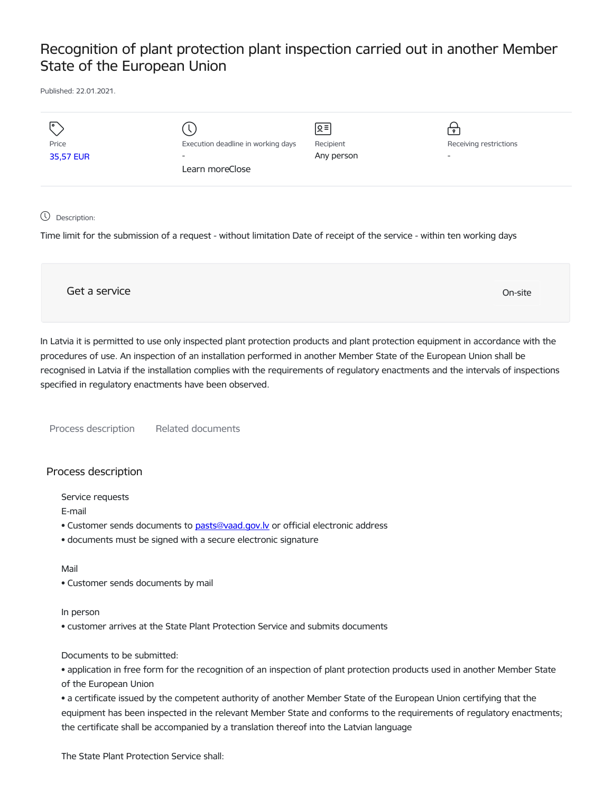# Recognition of plant protection plant inspection carried out in another Member State of the European Union

Published: 22.01.2021.

| $\overline{\phantom{a}}$ |                                    | ∣়≡        | $\bullet$                |
|--------------------------|------------------------------------|------------|--------------------------|
| Price                    | Execution deadline in working days | Recipient  | Receiving restrictions   |
| 35,57 EUR                | $\overline{\phantom{0}}$           | Any person | $\overline{\phantom{0}}$ |
|                          | Learn moreClose                    |            |                          |
|                          |                                    |            |                          |
|                          |                                    |            |                          |

Description:

Time limit for the submission of a request - without limitation Date of receipt of the service - within ten working days

Get a service only a service of the contract of the contract of the contract of the contract of the contract of the contract of the contract of the contract of the contract of the contract of the contract of the contract o

In Latvia it is permitted to use only inspected plant protection products and plant protection equipment in accordance with the procedures of use. An inspection of an installation performed in another Member State of the European Union shall be recognised in Latvia if the installation complies with the requirements of regulatory enactments and the intervals of inspections specified in regulatory enactments have been observed.

Process description Related documents

## Process description

Service requests

E-mail

- Customer sends documents to pasts@vaad.gov.ly or official electronic address
- documents must be signed with a secure electronic signature

#### Mail

• Customer sends documents by mail

#### In person

• customer arrives at the State Plant Protection Service and submits documents

### Documents to be submitted:

• application in free form for the recognition of an inspection of plant protection products used in another Member State of the European Union

• a certificate issued by the competent authority of another Member State of the European Union certifying that the equipment has been inspected in the relevant Member State and conforms to the requirements of regulatory enactments; the certificate shall be accompanied by a translation thereof into the Latvian language

The State Plant Protection Service shall: